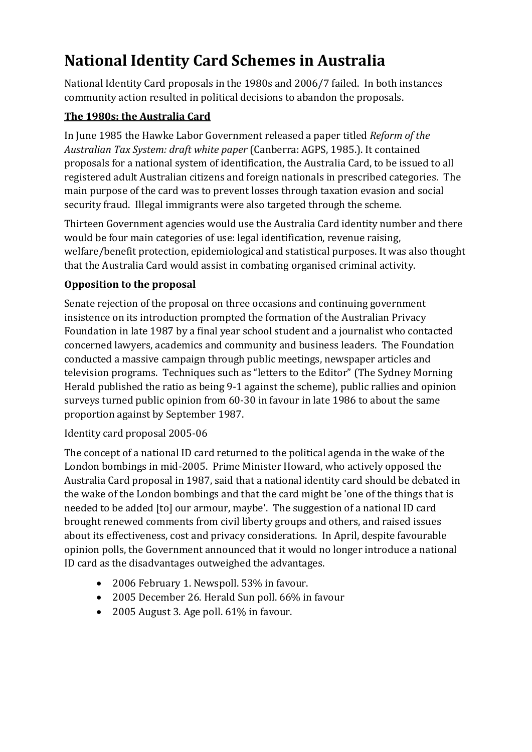# **National Identity Card Schemes in Australia**

National Identity Card proposals in the 1980s and 2006/7 failed. In both instances community action resulted in political decisions to abandon the proposals.

## **The 1980s: the Australia Card**

In June 1985 the Hawke Labor Government released a paper titled *Reform of the Australian Tax System: draft white paper* (Canberra: AGPS, 1985.). It contained proposals for a national system of identification, the Australia Card, to be issued to all registered adult Australian citizens and foreign nationals in prescribed categories. The main purpose of the card was to prevent losses through taxation evasion and social security fraud. Illegal immigrants were also targeted through the scheme.

Thirteen Government agencies would use the Australia Card identity number and there would be four main categories of use: legal identification, revenue raising, welfare/benefit protection, epidemiological and statistical purposes. It was also thought that the Australia Card would assist in combating organised criminal activity.

# **Opposition to the proposal**

Senate rejection of the proposal on three occasions and continuing government insistence on its introduction prompted the formation of the Australian Privacy Foundation in late 1987 by a final year school student and a journalist who contacted concerned lawyers, academics and community and business leaders. The Foundation conducted a massive campaign through public meetings, newspaper articles and television programs. Techniques such as "letters to the Editor" (The Sydney Morning Herald published the ratio as being 9-1 against the scheme), public rallies and opinion surveys turned public opinion from 60-30 in favour in late 1986 to about the same proportion against by September 1987.

## Identity card proposal 2005-06

The concept of a national ID card returned to the political agenda in the wake of the London bombings in mid-2005. Prime Minister Howard, who [actively opposed the](http://parlinfoweb.aph.gov.au/piweb/TranslateWIPILink.aspx?Folder=HANSARDR&Criteria=DOC_DATE:1987-09-16%3BSEQ_NUM:81%3B)  [Australia Card proposal in 1987,](http://parlinfoweb.aph.gov.au/piweb/TranslateWIPILink.aspx?Folder=HANSARDR&Criteria=DOC_DATE:1987-09-16%3BSEQ_NUM:81%3B) said that a national identity card should be debated in the wake of the London bombings and that the card might be 'one of the things that is needed to be added [to] our armour, maybe'. The suggestion of a national ID card brought renewed comments from civil liberty groups and others, and raised issues about its effectiveness, cost and privacy considerations. In April, despite favourable opinion polls, the Governmen[t announced](http://parlinfoweb.aph.gov.au/piweb/TranslateWIPILink.aspx?Folder=PRESSREL&Criteria=CITATION_ID:NNGJ6;) that it would no longer introduce a national ID card as the disadvantages outweighed the advantages.

- 2006 February 1. [Newspoll.](http://parlinfoweb.aph.gov.au/piweb/TranslateWIPILink.aspx?Folder=PRESSCLP&Criteria=CITATION_ID:69MI6%3B) 53% in favour.
- 2005 December 26. [Herald Sun poll.](http://parlinfoweb.aph.gov.au/piweb/TranslateWIPILink.aspx?Folder=PRESSCLP&Criteria=CITATION_ID:VQDI6%3B) 66% in favour
- 2005 August 3. [Age poll.](http://parlinfoweb.aph.gov.au/piweb/TranslateWIPILink.aspx?Folder=PRESSCLP&Criteria=CITATION_ID:7RUG6%3B) 61% in favour.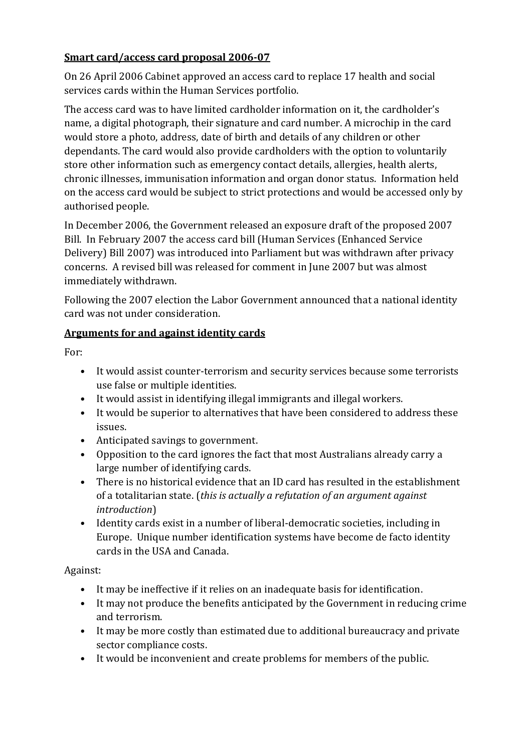#### **Smart card/access card proposal 2006-07**

On 26 April 2006 Cabinet [approved](http://parlinfoweb.aph.gov.au/piweb/TranslateWIPILink.aspx?Folder=PRESSREL&Criteria=CITATION_ID:BNGJ6%3B) an access card to replace 17 health and social services cards within the Human Services portfolio.

The access card was to have limited cardholder information on it, the cardholder's name, a digital photograph, their signature and card number. A microchip in the card would store a photo, address, date of birth and details of any children or other dependants. The card would also provide cardholders with the option to voluntarily store other information such as emergency contact details, allergies, health alerts, chronic illnesses, immunisation information and organ donor status. Information held on the access card would be subject to strict protections and would be accessed only by authorised people.

In December 2006, the Government released an exposure draft of the proposed 2007 Bill. In February 2007 the access card bill (Human Services (Enhanced Service Delivery) Bill 2007) was introduced into Parliament but was withdrawn after privacy concerns. A revised bill was released for comment in June 2007 but was almost immediately withdrawn.

Following the 2007 election the Labor Government announced that a national identity card was not under consideration.

#### **Arguments for and against identity cards**

For:

- It would assist counter-terrorism and security services because some terrorists use false or multiple identities.
- It would assist in identifying illegal immigrants and illegal workers.
- It would be superior to alternatives that have been considered to address these issues.
- Anticipated savings to government.
- Opposition to the card ignores the fact that most Australians already carry a large number of identifying cards.
- There is no historical evidence that an ID card has resulted in the establishment of a totalitarian state. (*this is actually a refutation of an argument against introduction*)
- Identity cards exist in a number of liberal-democratic societies, including in Europe. Unique number identification systems have become de facto identity cards in the USA and Canada.

Against:

- It may be ineffective if it relies on an inadequate basis for identification.
- It may not produce the benefits anticipated by the Government in reducing crime and terrorism.
- It may be more costly than estimated due to additional bureaucracy and private sector compliance costs.
- It would be inconvenient and create problems for members of the public.